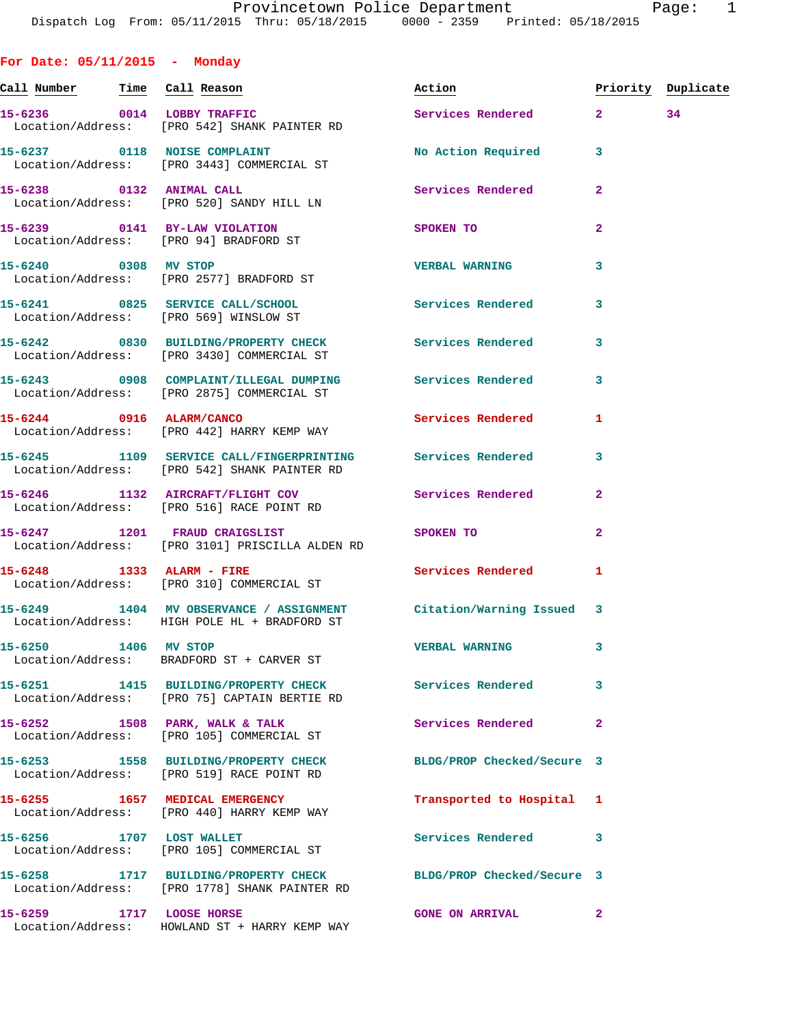**For Date: 05/11/2015 - Monday**

**Call Number Time Call Reason Action Priority Duplicate 15-6236 0014 LOBBY TRAFFIC Services Rendered 2 34**  Location/Address: [PRO 542] SHANK PAINTER RD 15-6237 0118 NOISE COMPLAINT No Required 3 Location/Address: [PRO 3443] COMMERCIAL ST **15-6238 0132 ANIMAL CALL Services Rendered 2**  Location/Address: [PRO 520] SANDY HILL LN **15-6239 0141 BY-LAW VIOLATION SPOKEN TO 2**  Location/Address: [PRO 94] BRADFORD ST **15-6240 0308 MV STOP VERBAL WARNING 3**  Location/Address: [PRO 2577] BRADFORD ST **15-6241 0825 SERVICE CALL/SCHOOL Services Rendered 3**  Location/Address: [PRO 569] WINSLOW ST **15-6242 0830 BUILDING/PROPERTY CHECK Services Rendered 3**  Location/Address: [PRO 3430] COMMERCIAL ST **15-6243 0908 COMPLAINT/ILLEGAL DUMPING Services Rendered 3**  Location/Address: [PRO 2875] COMMERCIAL ST **15-6244 0916 ALARM/CANCO Services Rendered 1**  Location/Address: [PRO 442] HARRY KEMP WAY **15-6245 1109 SERVICE CALL/FINGERPRINTING Services Rendered 3**  Location/Address: [PRO 542] SHANK PAINTER RD **15-6246 1132 AIRCRAFT/FLIGHT COV Services Rendered 2**  Location/Address: [PRO 516] RACE POINT RD **15-6247 1201 FRAUD CRAIGSLIST SPOKEN TO 2**  Location/Address: [PRO 3101] PRISCILLA ALDEN RD **15-6248 1333 ALARM - FIRE Services Rendered 1**  Location/Address: [PRO 310] COMMERCIAL ST **15-6249 1404 MV OBSERVANCE / ASSIGNMENT Citation/Warning Issued 3**  Location/Address: HIGH POLE HL + BRADFORD ST **15-6250 1406 MV STOP VERBAL WARNING 3**  Location/Address: BRADFORD ST + CARVER ST **15-6251 1415 BUILDING/PROPERTY CHECK Services Rendered 3**  Location/Address: [PRO 75] CAPTAIN BERTIE RD 15-6252 1508 PARK, WALK & TALK **1508 Services Rendered** 2 Location/Address: [PRO 105] COMMERCIAL ST **15-6253 1558 BUILDING/PROPERTY CHECK BLDG/PROP Checked/Secure 3**  Location/Address: [PRO 519] RACE POINT RD **15-6255 1657 MEDICAL EMERGENCY Transported to Hospital 1**  Location/Address: [PRO 440] HARRY KEMP WAY **15-6256 1707 LOST WALLET Services Rendered 3**  Location/Address: [PRO 105] COMMERCIAL ST **15-6258 1717 BUILDING/PROPERTY CHECK BLDG/PROP Checked/Secure 3**  Location/Address: [PRO 1778] SHANK PAINTER RD

**15-6259 1717 LOOSE HORSE GONE ON ARRIVAL 2** 

Location/Address: HOWLAND ST + HARRY KEMP WAY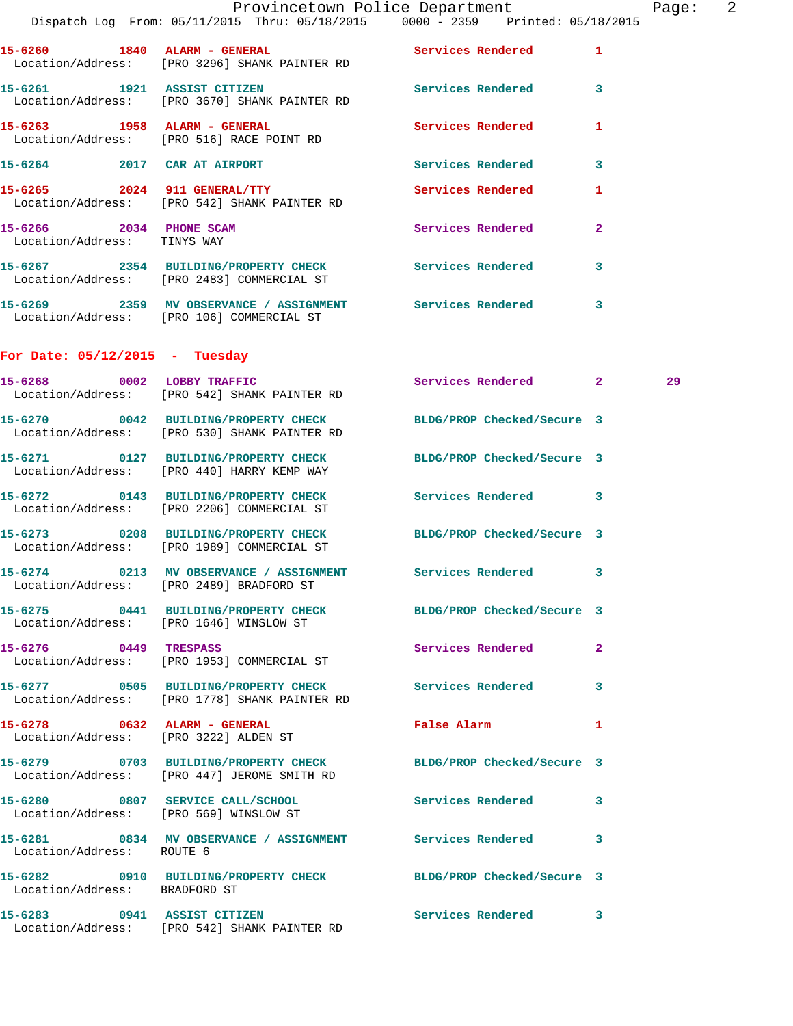|                                                        | Dispatch Log From: 05/11/2015 Thru: 05/18/2015 0000 - 2359 Printed: 05/18/2015                                  | Provincetown Police Department | Page: 2                 |  |
|--------------------------------------------------------|-----------------------------------------------------------------------------------------------------------------|--------------------------------|-------------------------|--|
|                                                        | 15-6260 1840 ALARM - GENERAL Services Rendered 1<br>Location/Address: [PRO 3296] SHANK PAINTER RD               |                                |                         |  |
| 15-6261 1921 ASSIST CITIZEN                            | Location/Address: [PRO 3670] SHANK PAINTER RD                                                                   | Services Rendered 3            |                         |  |
|                                                        | 15-6263 1958 ALARM - GENERAL<br>Location/Address: [PRO 516] RACE POINT RD                                       | Services Rendered              | 1                       |  |
|                                                        | 15-6264 2017 CAR AT AIRPORT                                                                                     | Services Rendered              | 3                       |  |
|                                                        | 15-6265 2024 911 GENERAL/TTY<br>Location/Address: [PRO 542] SHANK PAINTER RD                                    | <b>Services Rendered</b>       | $\mathbf{1}$            |  |
| 15-6266 2034 PHONE SCAM<br>Location/Address: TINYS WAY |                                                                                                                 | Services Rendered              | $\mathbf{2}$            |  |
|                                                        | 15-6267 2354 BUILDING/PROPERTY CHECK Services Rendered<br>Location/Address: [PRO 2483] COMMERCIAL ST            |                                | $\overline{\mathbf{3}}$ |  |
|                                                        | 15-6269 2359 MV OBSERVANCE / ASSIGNMENT Services Rendered<br>Location/Address: [PRO 106] COMMERCIAL ST          |                                | 3                       |  |
| For Date: $05/12/2015$ - Tuesday                       |                                                                                                                 |                                |                         |  |
|                                                        | 15-6268 0002 LOBBY TRAFFIC<br>Location/Address: [PRO 542] SHANK PAINTER RD                                      | Services Rendered 2            | 29                      |  |
|                                                        | 15-6270 0042 BUILDING/PROPERTY CHECK BLDG/PROP Checked/Secure 3<br>Location/Address: [PRO 530] SHANK PAINTER RD |                                |                         |  |
|                                                        | 15-6271 0127 BUILDING/PROPERTY CHECK<br>Location/Address: [PRO 440] HARRY KEMP WAY                              | BLDG/PROP Checked/Secure 3     |                         |  |
|                                                        | 15-6272 0143 BUILDING/PROPERTY CHECK Services Rendered 3<br>Location/Address: [PRO 2206] COMMERCIAL ST          |                                |                         |  |
|                                                        | 15-6273 0208 BUILDING/PROPERTY CHECK<br>Location/Address: [PRO 1989] COMMERCIAL ST                              | BLDG/PROP Checked/Secure 3     |                         |  |
|                                                        | 15-6274 0213 MV OBSERVANCE / ASSIGNMENT Services Rendered 3<br>Location/Address: [PRO 2489] BRADFORD ST         |                                |                         |  |
|                                                        | 15-6275 0441 BUILDING/PROPERTY CHECK BLDG/PROP Checked/Secure 3<br>Location/Address: [PRO 1646] WINSLOW ST      |                                |                         |  |
|                                                        | 15-6276 0449 TRESPASS<br>Location/Address: [PRO 1953] COMMERCIAL ST                                             | Services Rendered              | $\mathbf{2}$            |  |
|                                                        | 15-6277 0505 BUILDING/PROPERTY CHECK Services Rendered 3<br>Location/Address: [PRO 1778] SHANK PAINTER RD       |                                |                         |  |
| 15-6278 0632 ALARM - GENERAL                           | Location/Address: [PRO 3222] ALDEN ST                                                                           | False Alarm                    | ı                       |  |
|                                                        | 15-6279 0703 BUILDING/PROPERTY CHECK<br>Location/Address: [PRO 447] JEROME SMITH RD                             | BLDG/PROP Checked/Secure 3     |                         |  |
|                                                        | 15-6280 0807 SERVICE CALL/SCHOOL<br>Location/Address: [PRO 569] WINSLOW ST                                      | Services Rendered 3            |                         |  |
| Location/Address: ROUTE 6                              | 15-6281 0834 MV OBSERVANCE / ASSIGNMENT Services Rendered 3                                                     |                                |                         |  |
| Location/Address: BRADFORD ST                          | 15-6282 0910 BUILDING/PROPERTY CHECK BLDG/PROP Checked/Secure 3                                                 |                                |                         |  |
|                                                        | 15-6283 0941 ASSIST CITIZEN<br>Location/Address: [PRO 542] SHANK PAINTER RD                                     | Services Rendered 3            |                         |  |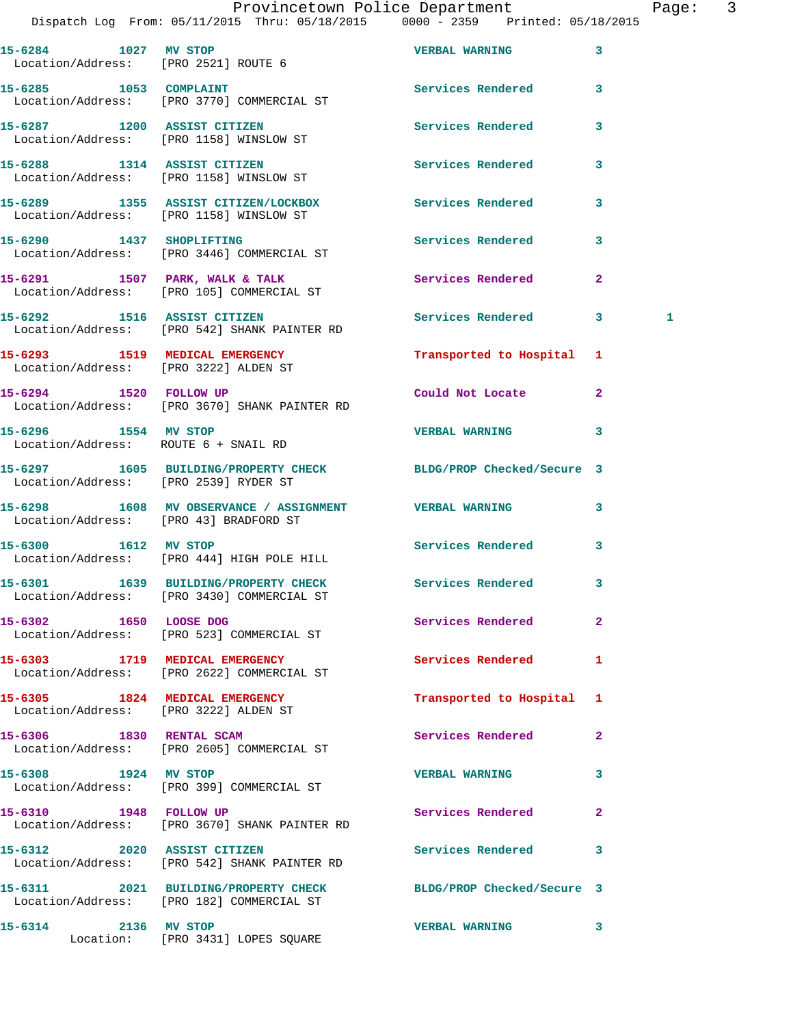Dispatch Log From: 05/11/2015 Thru: 05/18/2015 0000 - 2359 Printed: 05/18/2015

| 15-6284 1027 MV STOP                                                    | Location/Address: [PRO 2521] ROUTE 6                                                                 | <b>VERBAL WARNING</b>      | 3              |   |
|-------------------------------------------------------------------------|------------------------------------------------------------------------------------------------------|----------------------------|----------------|---|
|                                                                         | 15-6285 1053 COMPLAINT<br>Location/Address: [PRO 3770] COMMERCIAL ST                                 | Services Rendered          | 3              |   |
|                                                                         | 15-6287 1200 ASSIST CITIZEN<br>Location/Address: [PRO 1158] WINSLOW ST                               | <b>Services Rendered</b>   | 3              |   |
|                                                                         | 15-6288 1314 ASSIST CITIZEN<br>Location/Address: [PRO 1158] WINSLOW ST                               | <b>Services Rendered</b>   | 3              |   |
|                                                                         | 15-6289 1355 ASSIST CITIZEN/LOCKBOX<br>Location/Address: [PRO 1158] WINSLOW ST                       | Services Rendered          | 3              |   |
|                                                                         | 15-6290 1437 SHOPLIFTING<br>Location/Address: [PRO 3446] COMMERCIAL ST                               | <b>Services Rendered</b>   | 3              |   |
|                                                                         | 15-6291 1507 PARK, WALK & TALK<br>Location/Address: [PRO 105] COMMERCIAL ST                          | Services Rendered          | $\overline{2}$ |   |
|                                                                         | 15-6292 1516 ASSIST CITIZEN<br>Location/Address: [PRO 542] SHANK PAINTER RD                          | <b>Services Rendered</b>   | 3              | 1 |
| Location/Address: [PRO 3222] ALDEN ST                                   | 15-6293 1519 MEDICAL EMERGENCY                                                                       | Transported to Hospital    | 1              |   |
|                                                                         | 15-6294 1520 FOLLOW UP<br>Location/Address: [PRO 3670] SHANK PAINTER RD                              | Could Not Locate           | $\mathbf{2}$   |   |
| 15-6296 1554 MV STOP<br>Location/Address: ROUTE 6 + SNAIL RD            |                                                                                                      | <b>VERBAL WARNING</b>      | 3              |   |
| Location/Address: [PRO 2539] RYDER ST                                   | 15-6297 1605 BUILDING/PROPERTY CHECK BLDG/PROP Checked/Secure 3                                      |                            |                |   |
|                                                                         | 15-6298 1608 MV OBSERVANCE / ASSIGNMENT VERBAL WARNING<br>Location/Address: [PRO 43] BRADFORD ST     |                            | 3              |   |
|                                                                         | 15-6300 1612 MV STOP<br>Location/Address: [PRO 444] HIGH POLE HILL                                   | <b>Services Rendered</b>   | 3              |   |
|                                                                         | 15-6301 1639 BUILDING/PROPERTY CHECK Services Rendered<br>Location/Address: [PRO 3430] COMMERCIAL ST |                            | 3              |   |
| 15-6302 1650 LOOSE DOG                                                  | Location/Address: [PRO 523] COMMERCIAL ST                                                            | Services Rendered          | 2              |   |
|                                                                         | 15-6303 1719 MEDICAL EMERGENCY<br>Location/Address: [PRO 2622] COMMERCIAL ST                         | Services Rendered          | $\mathbf{1}$   |   |
| 15-6305 1824 MEDICAL EMERGENCY<br>Location/Address: [PRO 3222] ALDEN ST |                                                                                                      | Transported to Hospital    | 1              |   |
| 15-6306 1830 RENTAL SCAM                                                | Location/Address: [PRO 2605] COMMERCIAL ST                                                           | Services Rendered          | $\mathbf{2}$   |   |
| 15-6308 1924 MV STOP                                                    | Location/Address: [PRO 399] COMMERCIAL ST                                                            | <b>VERBAL WARNING</b>      | 3              |   |
| 15-6310 1948 FOLLOW UP                                                  | Location/Address: [PRO 3670] SHANK PAINTER RD                                                        | Services Rendered          | $\mathbf{2}$   |   |
|                                                                         | 15-6312 2020 ASSIST CITIZEN<br>Location/Address: [PRO 542] SHANK PAINTER RD                          | Services Rendered          | 3              |   |
|                                                                         | 15-6311 2021 BUILDING/PROPERTY CHECK<br>Location/Address: [PRO 182] COMMERCIAL ST                    | BLDG/PROP Checked/Secure 3 |                |   |
| 15-6314<br>2136 MV STOP                                                 | Location: [PRO 3431] LOPES SQUARE                                                                    | <b>VERBAL WARNING</b>      | 3              |   |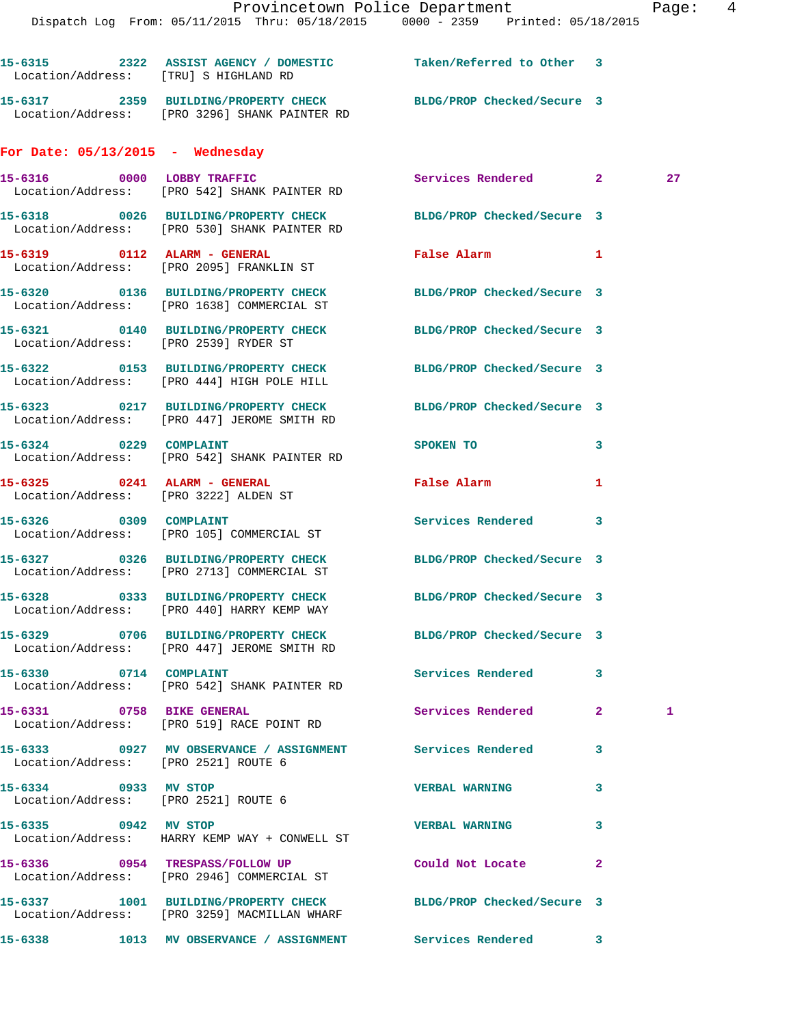Dispatch Log From: 05/11/2015 Thru: 05/18/2015 0000 - 2359 Printed: 05/18/2015 **15-6315 2322 ASSIST AGENCY / DOMESTIC Taken/Referred to Other 3**  Location/Address: [TRU] S HIGHLAND RD **15-6317 2359 BUILDING/PROPERTY CHECK BLDG/PROP Checked/Secure 3**  Location/Address: [PRO 3296] SHANK PAINTER RD **For Date: 05/13/2015 - Wednesday 15-6316 0000 LOBBY TRAFFIC Services Rendered 2 27**  Location/Address: [PRO 542] SHANK PAINTER RD **15-6318 0026 BUILDING/PROPERTY CHECK BLDG/PROP Checked/Secure 3**  Location/Address: [PRO 530] SHANK PAINTER RD **15-6319 0112 ALARM - GENERAL False Alarm 1**  Location/Address: [PRO 2095] FRANKLIN ST **15-6320 0136 BUILDING/PROPERTY CHECK BLDG/PROP Checked/Secure 3**  Location/Address: [PRO 1638] COMMERCIAL ST **15-6321 0140 BUILDING/PROPERTY CHECK BLDG/PROP Checked/Secure 3**  Location/Address: [PRO 2539] RYDER ST **15-6322 0153 BUILDING/PROPERTY CHECK BLDG/PROP Checked/Secure 3**  Location/Address: [PRO 444] HIGH POLE HILL **15-6323 0217 BUILDING/PROPERTY CHECK BLDG/PROP Checked/Secure 3**  Location/Address: [PRO 447] JEROME SMITH RD **15-6324** 0229 COMPLAINT SPOKEN TO 3 Location/Address: [PRO 542] SHANK PAINTER RD **15-6325 0241 ALARM - GENERAL False Alarm 1**  Location/Address: [PRO 3222] ALDEN ST 15-6326 0309 COMPLAINT **Services Rendered** 3 Location/Address: [PRO 105] COMMERCIAL ST **15-6327 0326 BUILDING/PROPERTY CHECK BLDG/PROP Checked/Secure 3**  Location/Address: [PRO 2713] COMMERCIAL ST **15-6328 0333 BUILDING/PROPERTY CHECK BLDG/PROP Checked/Secure 3**  Location/Address: [PRO 440] HARRY KEMP WAY **15-6329 0706 BUILDING/PROPERTY CHECK BLDG/PROP Checked/Secure 3**  Location/Address: [PRO 447] JEROME SMITH RD 15-6330 0714 COMPLAINT **Services Rendered** 3 Location/Address: [PRO 542] SHANK PAINTER RD **15-6331 0758 BIKE GENERAL Services Rendered 2 1**  Location/Address: [PRO 519] RACE POINT RD **15-6333 0927 MV OBSERVANCE / ASSIGNMENT Services Rendered 3**  Location/Address: [PRO 2521] ROUTE 6 **15-6334 0933 MV STOP VERBAL WARNING 3**  Location/Address: [PRO 2521] ROUTE 6 **15-6335 0942 MV STOP VERBAL WARNING 3** 

 Location/Address: HARRY KEMP WAY + CONWELL ST **15-6336 0954 TRESPASS/FOLLOW UP Could Not Locate 2**  Location/Address: [PRO 2946] COMMERCIAL ST **15-6337 1001 BUILDING/PROPERTY CHECK BLDG/PROP Checked/Secure 3**  Location/Address: [PRO 3259] MACMILLAN WHARF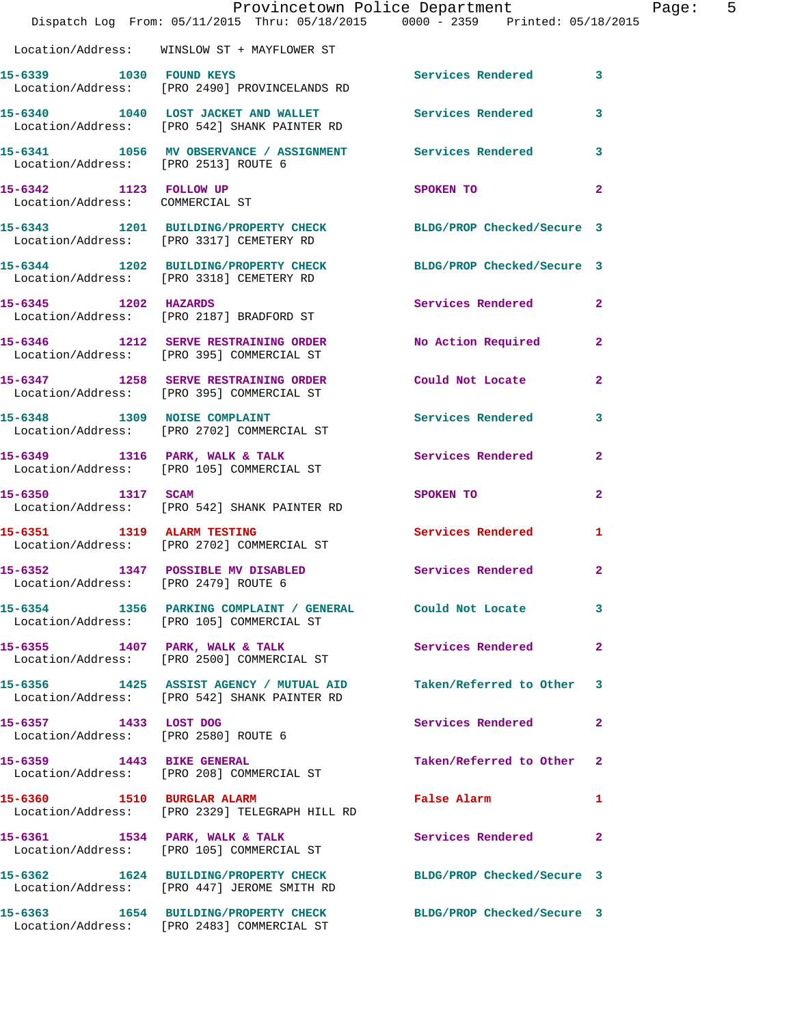|                                                           | Provincetown Police Department<br>Dispatch Log From: 05/11/2015 Thru: 05/18/2015 0000 - 2359 Printed: 05/18/2015  |                                             | Page: 5        |  |
|-----------------------------------------------------------|-------------------------------------------------------------------------------------------------------------------|---------------------------------------------|----------------|--|
|                                                           | Location/Address: WINSLOW ST + MAYFLOWER ST                                                                       |                                             |                |  |
|                                                           | 15-6339 1030 FOUND KEYS<br>Location/Address: [PRO 2490] PROVINCELANDS RD                                          | Services Rendered 3                         |                |  |
|                                                           | 15-6340 1040 LOST JACKET AND WALLET Services Rendered 3<br>Location/Address: [PRO 542] SHANK PAINTER RD           |                                             |                |  |
| Location/Address: [PRO 2513] ROUTE 6                      | 15-6341 1056 MV OBSERVANCE / ASSIGNMENT Services Rendered 3                                                       |                                             |                |  |
| 15-6342 1123 FOLLOW UP<br>Location/Address: COMMERCIAL ST |                                                                                                                   | SPOKEN TO                                   | $\overline{2}$ |  |
|                                                           | 15-6343 1201 BUILDING/PROPERTY CHECK BLDG/PROP Checked/Secure 3<br>Location/Address: [PRO 3317] CEMETERY RD       |                                             |                |  |
|                                                           | 15-6344 1202 BUILDING/PROPERTY CHECK BLDG/PROP Checked/Secure 3<br>Location/Address: [PRO 3318] CEMETERY RD       |                                             |                |  |
| 15-6345 1202 HAZARDS                                      | Location/Address: [PRO 2187] BRADFORD ST                                                                          | Services Rendered 2                         |                |  |
|                                                           | 15-6346 1212 SERVE RESTRAINING ORDER<br>Location/Address: [PRO 395] COMMERCIAL ST                                 | No Action Required 2                        |                |  |
|                                                           | 15-6347 1258 SERVE RESTRAINING ORDER Could Not Locate<br>Location/Address: [PRO 395] COMMERCIAL ST                |                                             | $\mathbf{2}$   |  |
|                                                           | 15-6348 1309 NOISE COMPLAINT<br>Location/Address: [PRO 2702] COMMERCIAL ST                                        | Services Rendered                           | 3              |  |
|                                                           | 15-6349 1316 PARK, WALK & TALK<br>Location/Address: [PRO 105] COMMERCIAL ST                                       | Services Rendered                           | $\mathbf{2}$   |  |
| 15-6350 1317 SCAM                                         | Location/Address: [PRO 542] SHANK PAINTER RD                                                                      | SPOKEN TO                                   | $\mathbf{2}$   |  |
| 15-6351 1319 ALARM TESTING                                | Location/Address: [PRO 2702] COMMERCIAL ST                                                                        | <b>Services Rendered</b>                    | 1              |  |
| Location/Address: [PRO 2479] ROUTE 6                      | 15-6352 1347 POSSIBLE MV DISABLED                                                                                 | <b>Services Rendered</b>                    | $\mathbf{2}$   |  |
|                                                           | 15-6354 1356 PARKING COMPLAINT / GENERAL Could Not Locate<br>Location/Address: [PRO 105] COMMERCIAL ST            |                                             | 3              |  |
|                                                           | 15-6355 1407 PARK, WALK & TALK<br>Location/Address: [PRO 2500] COMMERCIAL ST                                      | Services Rendered 2                         |                |  |
|                                                           | 15-6356 1425 ASSIST AGENCY / MUTUAL AID Taken/Referred to Other 3<br>Location/Address: [PRO 542] SHANK PAINTER RD |                                             |                |  |
| 15-6357 1433 LOST DOG                                     | Location/Address: [PRO 2580] ROUTE 6                                                                              | Services Rendered 2                         |                |  |
| 15-6359 1443 BIKE GENERAL                                 | Location/Address: [PRO 208] COMMERCIAL ST                                                                         | Taken/Referred to Other 2                   |                |  |
|                                                           | 15-6360 1510 BURGLAR ALARM<br>Location/Address: [PRO 2329] TELEGRAPH HILL RD                                      | False Alarm <b>Exercise Service Service</b> | $\mathbf{1}$   |  |
|                                                           | 15-6361 1534 PARK, WALK & TALK<br>Location/Address: [PRO 105] COMMERCIAL ST                                       | Services Rendered 2                         |                |  |
|                                                           | 15-6362 1624 BUILDING/PROPERTY CHECK BLDG/PROP Checked/Secure 3<br>Location/Address: [PRO 447] JEROME SMITH RD    |                                             |                |  |
|                                                           | 15-6363 1654 BUILDING/PROPERTY CHECK<br>Location/Address: [PRO 2483] COMMERCIAL ST                                | BLDG/PROP Checked/Secure 3                  |                |  |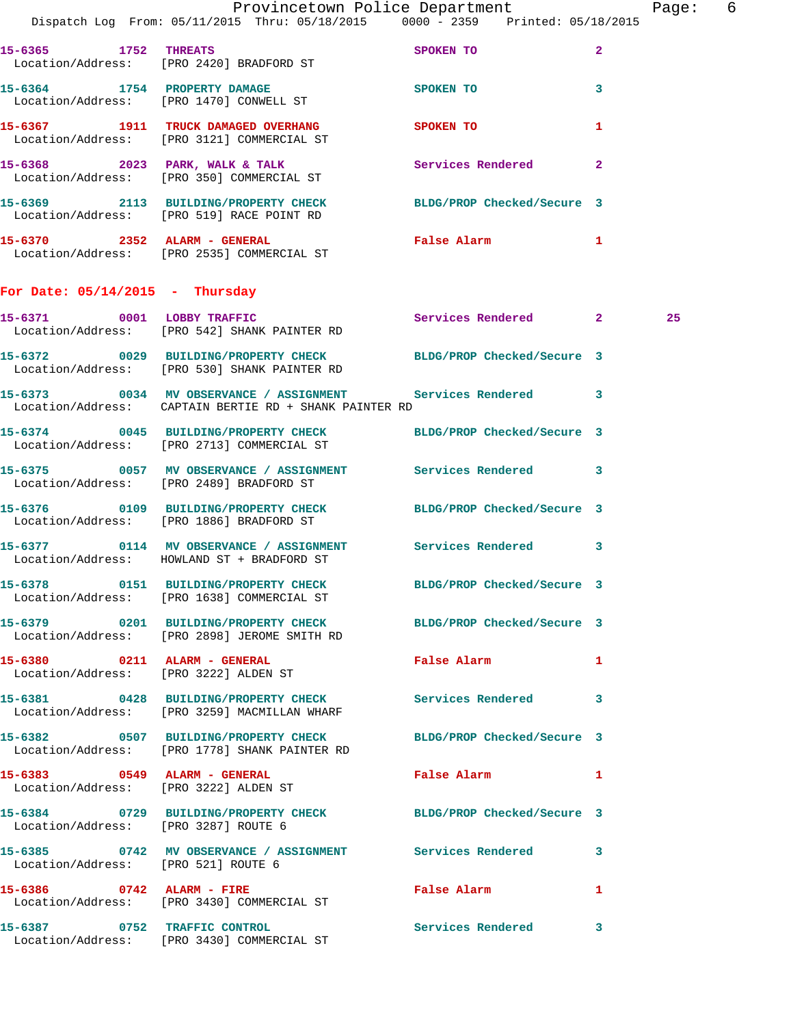|                                      | Provincetown Police Department The Rage: 6<br>Dispatch Log From: 05/11/2015 Thru: 05/18/2015 0000 - 2359 Printed: 05/18/2015 |                                             |              |    |  |
|--------------------------------------|------------------------------------------------------------------------------------------------------------------------------|---------------------------------------------|--------------|----|--|
|                                      | 15-6365 1752 THREATS<br>Location/Address: [PRO 2420] BRADFORD ST                                                             | SPOKEN TO                                   | $\mathbf{2}$ |    |  |
|                                      | 15-6364 1754 PROPERTY DAMAGE<br>Location/Address: [PRO 1470] CONWELL ST                                                      | SPOKEN TO                                   | 3            |    |  |
|                                      | 15-6367 1911 TRUCK DAMAGED OVERHANG SPOKEN TO<br>Location/Address: [PRO 3121] COMMERCIAL ST                                  |                                             | 1            |    |  |
|                                      | 15-6368 2023 PARK, WALK & TALK STARE Services Rendered Location/Address: [PRO 350] COMMERCIAL ST                             |                                             | $\mathbf{2}$ |    |  |
|                                      | 15-6369 2113 BUILDING/PROPERTY CHECK<br>Location/Address: [PRO 519] RACE POINT RD                                            | BLDG/PROP Checked/Secure 3                  |              |    |  |
|                                      | 15-6370 2352 ALARM - GENERAL <b>Example 2352</b> ALARM - GENERAL<br>Location/Address: [PRO 2535] COMMERCIAL ST               |                                             | $\mathbf{1}$ |    |  |
| For Date: $05/14/2015$ - Thursday    |                                                                                                                              |                                             |              |    |  |
|                                      | 15-6371 0001 LOBBY TRAFFIC<br>Location/Address: [PRO 542] SHANK PAINTER RD                                                   | Services Rendered 2                         |              | 25 |  |
|                                      | 15-6372 0029 BUILDING/PROPERTY CHECK BLDG/PROP Checked/Secure 3<br>Location/Address: [PRO 530] SHANK PAINTER RD              |                                             |              |    |  |
|                                      | 15-6373 0034 MV OBSERVANCE / ASSIGNMENT Services Rendered 3<br>Location/Address: CAPTAIN BERTIE RD + SHANK PAINTER RD        |                                             |              |    |  |
|                                      | 15-6374 0045 BUILDING/PROPERTY CHECK BLDG/PROP Checked/Secure 3<br>Location/Address: [PRO 2713] COMMERCIAL ST                |                                             |              |    |  |
|                                      | 15-6375 0057 MV OBSERVANCE / ASSIGNMENT Services Rendered 3<br>Location/Address: [PRO 2489] BRADFORD ST                      |                                             |              |    |  |
|                                      | 15-6376 0109 BUILDING/PROPERTY CHECK BLDG/PROP Checked/Secure 3<br>Location/Address: [PRO 1886] BRADFORD ST                  |                                             |              |    |  |
|                                      | 15-6377 0114 MV OBSERVANCE / ASSIGNMENT Services Rendered 3<br>Location/Address: HOWLAND ST + BRADFORD ST                    |                                             |              |    |  |
|                                      | 15-6378 0151 BUILDING/PROPERTY CHECK<br>Location/Address: [PRO 1638] COMMERCIAL ST                                           | BLDG/PROP Checked/Secure 3                  |              |    |  |
|                                      | 15-6379 0201 BUILDING/PROPERTY CHECK BLDG/PROP Checked/Secure 3<br>Location/Address: [PRO 2898] JEROME SMITH RD              |                                             |              |    |  |
| 15-6380 0211 ALARM - GENERAL         | Location/Address: [PRO 3222] ALDEN ST                                                                                        | False Alarm <b>Exercise Service Service</b> | $\mathbf{1}$ |    |  |
|                                      | 15-6381 0428 BUILDING/PROPERTY CHECK Services Rendered<br>Location/Address: [PRO 3259] MACMILLAN WHARF                       |                                             | 3            |    |  |
|                                      | 15-6382 0507 BUILDING/PROPERTY CHECK BLDG/PROP Checked/Secure 3<br>Location/Address: [PRO 1778] SHANK PAINTER RD             |                                             |              |    |  |
|                                      | 15-6383 0549 ALARM - GENERAL<br>Location/Address: [PRO 3222] ALDEN ST                                                        | False Alarm <b>Example</b>                  | 1            |    |  |
| Location/Address: [PRO 3287] ROUTE 6 | 15-6384 0729 BUILDING/PROPERTY CHECK BLDG/PROP Checked/Secure 3                                                              |                                             |              |    |  |
| Location/Address: [PRO 521] ROUTE 6  | 15-6385 0742 MV OBSERVANCE / ASSIGNMENT Services Rendered 3                                                                  |                                             |              |    |  |
|                                      | 15-6386 0742 ALARM - FIRE<br>Location/Address: [PRO 3430] COMMERCIAL ST                                                      | False Alarm <b>Example 20</b>               | 1            |    |  |
|                                      | 15-6387 0752 TRAFFIC CONTROL<br>Location/Address: [PRO 3430] COMMERCIAL ST                                                   | <b>Services Rendered</b>                    | 3            |    |  |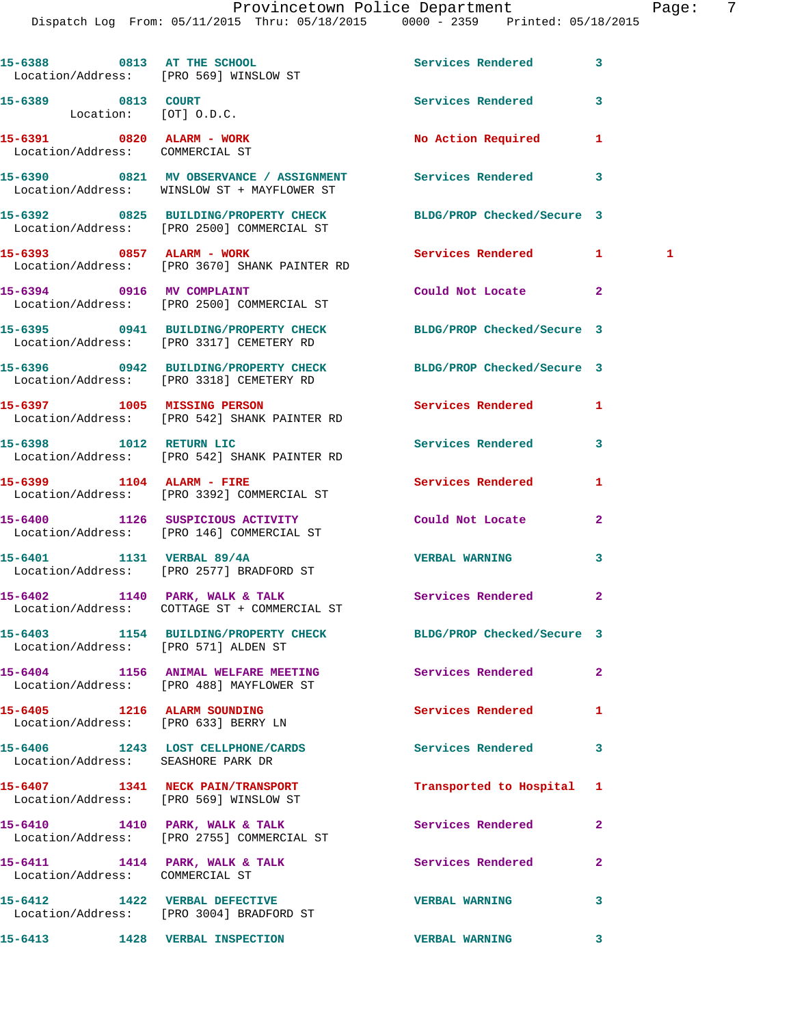Dispatch Log From: 05/11/2015 Thru: 05/18/2015 0000 - 2359 Printed: 05/18/2015

|                                                              | 15-6388 0813 AT THE SCHOOL CONTROL Services Rendered<br>Location/Address: [PRO 569] WINSLOW ST                |                          | 3                 |
|--------------------------------------------------------------|---------------------------------------------------------------------------------------------------------------|--------------------------|-------------------|
| 15-6389 0813 COURT<br>Location: [OT] O.D.C.                  |                                                                                                               | Services Rendered        | 3                 |
| 15-6391 0820 ALARM - WORK<br>Location/Address: COMMERCIAL ST |                                                                                                               | No Action Required       | 1                 |
|                                                              | 15-6390 0821 MV OBSERVANCE / ASSIGNMENT Services Rendered<br>Location/Address: WINSLOW ST + MAYFLOWER ST      |                          | 3                 |
|                                                              | 15-6392 0825 BUILDING/PROPERTY CHECK BLDG/PROP Checked/Secure 3<br>Location/Address: [PRO 2500] COMMERCIAL ST |                          |                   |
|                                                              | 15-6393 0857 ALARM - WORK<br>Location/Address: [PRO 3670] SHANK PAINTER RD                                    | <b>Services Rendered</b> | $\mathbf{1}$<br>1 |
|                                                              | 15-6394 0916 MV COMPLAINT<br>Location/Address: [PRO 2500] COMMERCIAL ST                                       | Could Not Locate         | $\mathbf{2}$      |
|                                                              | 15-6395 0941 BUILDING/PROPERTY CHECK BLDG/PROP Checked/Secure 3<br>Location/Address: [PRO 3317] CEMETERY RD   |                          |                   |
|                                                              | 15-6396 0942 BUILDING/PROPERTY CHECK BLDG/PROP Checked/Secure 3<br>Location/Address: [PRO 3318] CEMETERY RD   |                          |                   |
|                                                              | 15-6397 1005 MISSING PERSON<br>Location/Address: [PRO 542] SHANK PAINTER RD                                   | <b>Services Rendered</b> | 1                 |
|                                                              | 15-6398 1012 RETURN LIC<br>Location/Address: [PRO 542] SHANK PAINTER RD                                       | Services Rendered        | 3                 |
| 15-6399 1104 ALARM - FIRE                                    | Location/Address: [PRO 3392] COMMERCIAL ST                                                                    | Services Rendered        | 1                 |
|                                                              | 15-6400 1126 SUSPICIOUS ACTIVITY<br>Location/Address: [PRO 146] COMMERCIAL ST                                 | Could Not Locate         | $\mathbf{2}$      |
|                                                              | 15-6401 1131 VERBAL 89/4A<br>Location/Address: [PRO 2577] BRADFORD ST                                         | <b>VERBAL WARNING</b>    | 3                 |
|                                                              | 15-6402 1140 PARK, WALK & TALK<br>Location/Address: COTTAGE ST + COMMERCIAL ST                                | Services Rendered        | $\mathbf{2}$      |
| Location/Address: [PRO 571] ALDEN ST                         | 15-6403 1154 BUILDING/PROPERTY CHECK BLDG/PROP Checked/Secure 3                                               |                          |                   |
|                                                              | 15-6404 1156 ANIMAL WELFARE MEETING<br>Location/Address: [PRO 488] MAYFLOWER ST                               | Services Rendered        | $\mathbf{2}$      |
|                                                              | 15-6405 1216 ALARM SOUNDING<br>Location/Address: [PRO 633] BERRY LN                                           | <b>Services Rendered</b> | 1                 |
| Location/Address: SEASHORE PARK DR                           | 15-6406 1243 LOST CELLPHONE/CARDS Services Rendered                                                           |                          | 3                 |
|                                                              | 15-6407 1341 NECK PAIN/TRANSPORT<br>Location/Address: [PRO 569] WINSLOW ST                                    | Transported to Hospital  | 1                 |
|                                                              | 15-6410 1410 PARK, WALK & TALK<br>Location/Address: [PRO 2755] COMMERCIAL ST                                  | Services Rendered        | $\mathbf{2}$      |
| Location/Address: COMMERCIAL ST                              | 15-6411 1414 PARK, WALK & TALK                                                                                | Services Rendered        | $\mathbf{2}$      |
|                                                              | 15-6412 1422 VERBAL DEFECTIVE<br>Location/Address: [PRO 3004] BRADFORD ST                                     | <b>VERBAL WARNING</b>    | 3                 |
|                                                              | 15-6413 1428 VERBAL INSPECTION                                                                                | <b>VERBAL WARNING</b>    | 3                 |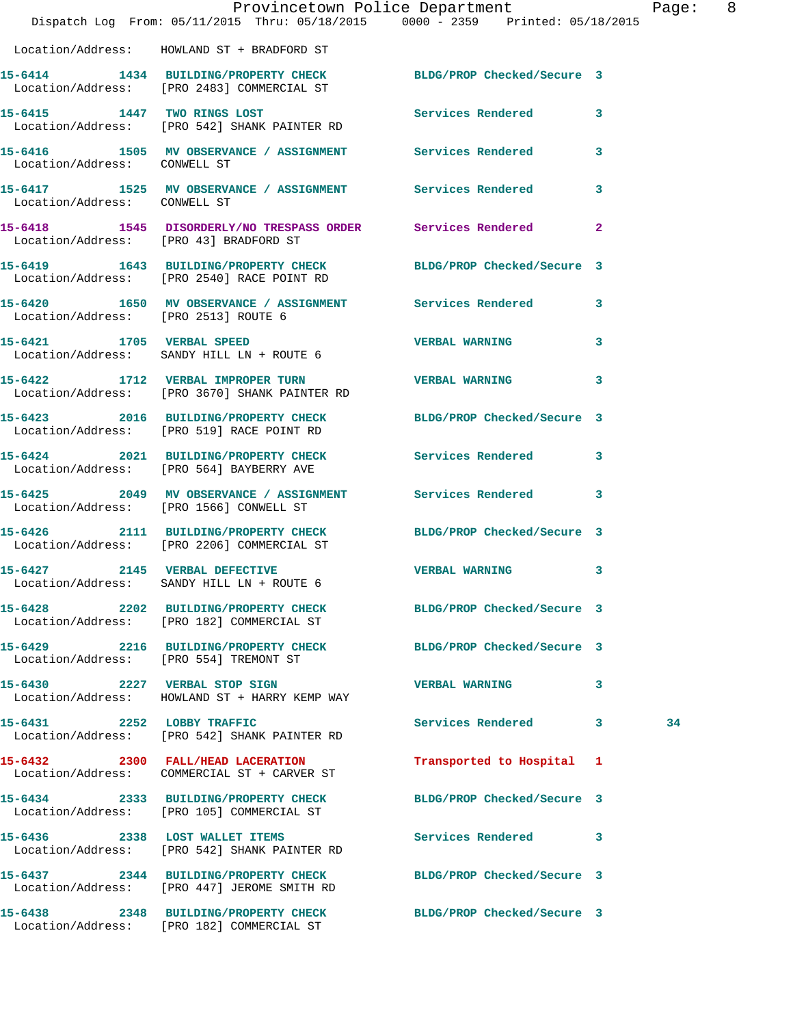|                                      | Dispatch Log From: 05/11/2015 Thru: 05/18/2015 0000 - 2359 Printed: 05/18/2015                                 | Provincetown Police Department |              | Page: 8 |  |
|--------------------------------------|----------------------------------------------------------------------------------------------------------------|--------------------------------|--------------|---------|--|
|                                      | Location/Address: HOWLAND ST + BRADFORD ST                                                                     |                                |              |         |  |
|                                      | 15-6414 1434 BUILDING/PROPERTY CHECK BLDG/PROP Checked/Secure 3<br>Location/Address: [PRO 2483] COMMERCIAL ST  |                                |              |         |  |
|                                      | 15-6415 1447 TWO RINGS LOST<br>Location/Address: [PRO 542] SHANK PAINTER RD                                    | Services Rendered 3            |              |         |  |
| Location/Address: CONWELL ST         | 15-6416 1505 MV OBSERVANCE / ASSIGNMENT Services Rendered 3                                                    |                                |              |         |  |
| Location/Address: CONWELL ST         | 15-6417 1525 MV OBSERVANCE / ASSIGNMENT Services Rendered 3                                                    |                                |              |         |  |
|                                      | 15-6418 1545 DISORDERLY/NO TRESPASS ORDER Services Rendered 2<br>Location/Address: [PRO 43] BRADFORD ST        |                                |              |         |  |
|                                      | 15-6419 1643 BUILDING/PROPERTY CHECK BLDG/PROP Checked/Secure 3<br>Location/Address: [PRO 2540] RACE POINT RD  |                                |              |         |  |
| Location/Address: [PRO 2513] ROUTE 6 | 15-6420 1650 MV OBSERVANCE / ASSIGNMENT Services Rendered 3                                                    |                                |              |         |  |
|                                      | 15-6421 1705 VERBAL SPEED<br>Location/Address: SANDY HILL LN + ROUTE 6                                         | <b>VERBAL WARNING</b>          | $\mathbf{3}$ |         |  |
|                                      | 15-6422 1712 VERBAL IMPROPER TURN TERBAL WARNING<br>Location/Address: [PRO 3670] SHANK PAINTER RD              |                                | 3            |         |  |
|                                      | 15-6423 2016 BUILDING/PROPERTY CHECK BLDG/PROP Checked/Secure 3<br>Location/Address: [PRO 519] RACE POINT RD   |                                |              |         |  |
|                                      | 15-6424 2021 BUILDING/PROPERTY CHECK Services Rendered 3<br>Location/Address: [PRO 564] BAYBERRY AVE           |                                |              |         |  |
|                                      | 15-6425 2049 MV OBSERVANCE / ASSIGNMENT Services Rendered 3<br>Location/Address: [PRO 1566] CONWELL ST         |                                |              |         |  |
|                                      | 15-6426 2111 BUILDING/PROPERTY CHECK BLDG/PROP Checked/Secure 3<br>Location/Address: [PRO 2206] COMMERCIAL ST  |                                |              |         |  |
| 15-6427 2145 VERBAL DEFECTIVE        | Location/Address: SANDY HILL LN + ROUTE 6                                                                      | <b>VERBAL WARNING</b> 3        |              |         |  |
|                                      | 15-6428 2202 BUILDING/PROPERTY CHECK BLDG/PROP Checked/Secure 3<br>Location/Address: [PRO 182] COMMERCIAL ST   |                                |              |         |  |
|                                      | 15-6429 2216 BUILDING/PROPERTY CHECK BLDG/PROP Checked/Secure 3<br>Location/Address: [PRO 554] TREMONT ST      |                                |              |         |  |
|                                      | 15-6430 2227 VERBAL STOP SIGN<br>Location/Address: HOWLAND ST + HARRY KEMP WAY                                 | <b>VERBAL WARNING</b>          | 3            |         |  |
|                                      | 15-6431 2252 LOBBY TRAFFIC<br>Location/Address: [PRO 542] SHANK PAINTER RD                                     | Services Rendered 3            |              | 34      |  |
|                                      | 15-6432 2300 FALL/HEAD LACERATION<br>Location/Address: COMMERCIAL ST + CARVER ST                               | Transported to Hospital 1      |              |         |  |
|                                      | 15-6434 2333 BUILDING/PROPERTY CHECK BLDG/PROP Checked/Secure 3<br>Location/Address: [PRO 105] COMMERCIAL ST   |                                |              |         |  |
|                                      | 15-6436 2338 LOST WALLET ITEMS<br>Location/Address: [PRO 542] SHANK PAINTER RD                                 | Services Rendered 3            |              |         |  |
|                                      | 15-6437 2344 BUILDING/PROPERTY CHECK BLDG/PROP Checked/Secure 3<br>Location/Address: [PRO 447] JEROME SMITH RD |                                |              |         |  |
|                                      |                                                                                                                |                                |              |         |  |

Location/Address: [PRO 182] COMMERCIAL ST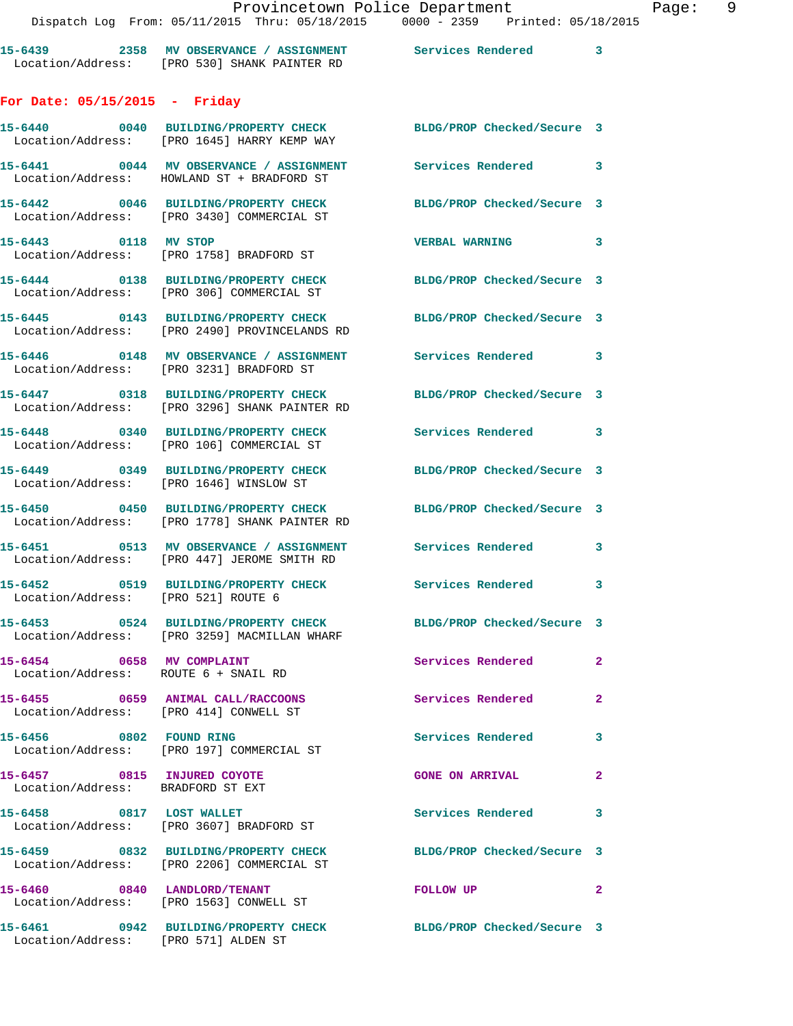| 15-6439           | 2358 | MV OBSERVANCE / ASSIGNMENT | Services Rendered |  |
|-------------------|------|----------------------------|-------------------|--|
| Location/Address: |      | FRO 5301 SHANK PAINTER RD  |                   |  |

## **For Date: 05/15/2015 - Friday**

|                                                                   | 15-6440 0040 BUILDING/PROPERTY CHECK<br>Location/Address: [PRO 1645] HARRY KEMP WAY    | BLDG/PROP Checked/Secure 3 |                         |
|-------------------------------------------------------------------|----------------------------------------------------------------------------------------|----------------------------|-------------------------|
|                                                                   | 15-6441 0044 MV OBSERVANCE / ASSIGNMENT<br>Location/Address: HOWLAND ST + BRADFORD ST  | Services Rendered 3        |                         |
|                                                                   | 15-6442 0046 BUILDING/PROPERTY CHECK<br>Location/Address: [PRO 3430] COMMERCIAL ST     | BLDG/PROP Checked/Secure 3 |                         |
| 15-6443 0118 MV STOP                                              | Location/Address: [PRO 1758] BRADFORD ST                                               | <b>VERBAL WARNING</b>      | $\overline{\mathbf{3}}$ |
|                                                                   | 15-6444 0138 BUILDING/PROPERTY CHECK<br>Location/Address: [PRO 306] COMMERCIAL ST      | BLDG/PROP Checked/Secure 3 |                         |
|                                                                   | 15-6445 0143 BUILDING/PROPERTY CHECK<br>Location/Address: [PRO 2490] PROVINCELANDS RD  | BLDG/PROP Checked/Secure 3 |                         |
|                                                                   | 15-6446 0148 MV OBSERVANCE / ASSIGNMENT<br>Location/Address: [PRO 3231] BRADFORD ST    | Services Rendered 3        |                         |
|                                                                   | 15-6447 0318 BUILDING/PROPERTY CHECK<br>Location/Address: [PRO 3296] SHANK PAINTER RD  | BLDG/PROP Checked/Secure 3 |                         |
|                                                                   | 15-6448 0340 BUILDING/PROPERTY CHECK<br>Location/Address: [PRO 106] COMMERCIAL ST      | Services Rendered 3        |                         |
|                                                                   | 15-6449 0349 BUILDING/PROPERTY CHECK<br>Location/Address: [PRO 1646] WINSLOW ST        | BLDG/PROP Checked/Secure 3 |                         |
|                                                                   | 15-6450 0450 BUILDING/PROPERTY CHECK<br>Location/Address: [PRO 1778] SHANK PAINTER RD  | BLDG/PROP Checked/Secure 3 |                         |
|                                                                   | 15-6451 0513 MV OBSERVANCE / ASSIGNMENT<br>Location/Address: [PRO 447] JEROME SMITH RD | Services Rendered 3        |                         |
| Location/Address: [PRO 521] ROUTE 6                               | 15-6452 0519 BUILDING/PROPERTY CHECK                                                   | Services Rendered 3        |                         |
|                                                                   | 15-6453 0524 BUILDING/PROPERTY CHECK<br>Location/Address: [PRO 3259] MACMILLAN WHARF   | BLDG/PROP Checked/Secure 3 |                         |
| 15-6454 0658 MV COMPLAINT<br>Location/Address: ROUTE 6 + SNAIL RD |                                                                                        | Services Rendered 2        |                         |
| Location/Address: [PRO 414] CONWELL ST                            | 15-6455 0659 ANIMAL CALL/RACCOONS                                                      | Services Rendered          |                         |
| 15-6456 0802 FOUND RING                                           | Location/Address: [PRO 197] COMMERCIAL ST                                              | <b>Services Rendered</b>   | $\mathbf{3}$            |
| 15-6457 0815 INJURED COYOTE<br>Location/Address: BRADFORD ST EXT  |                                                                                        | <b>GONE ON ARRIVAL</b>     | $\mathbf{2}$            |
|                                                                   | 15-6458 0817 LOST WALLET<br>Location/Address: [PRO 3607] BRADFORD ST                   | Services Rendered          | $\overline{\mathbf{3}}$ |
|                                                                   | 15-6459 0832 BUILDING/PROPERTY CHECK<br>Location/Address: [PRO 2206] COMMERCIAL ST     | BLDG/PROP Checked/Secure 3 |                         |
|                                                                   | 15-6460 0840 LANDLORD/TENANT<br>Location/Address: [PRO 1563] CONWELL ST                | <b>FOLLOW UP</b>           | 2                       |
| Location/Address: [PRO 571] ALDEN ST                              | 15-6461 0942 BUILDING/PROPERTY CHECK                                                   | BLDG/PROP Checked/Secure 3 |                         |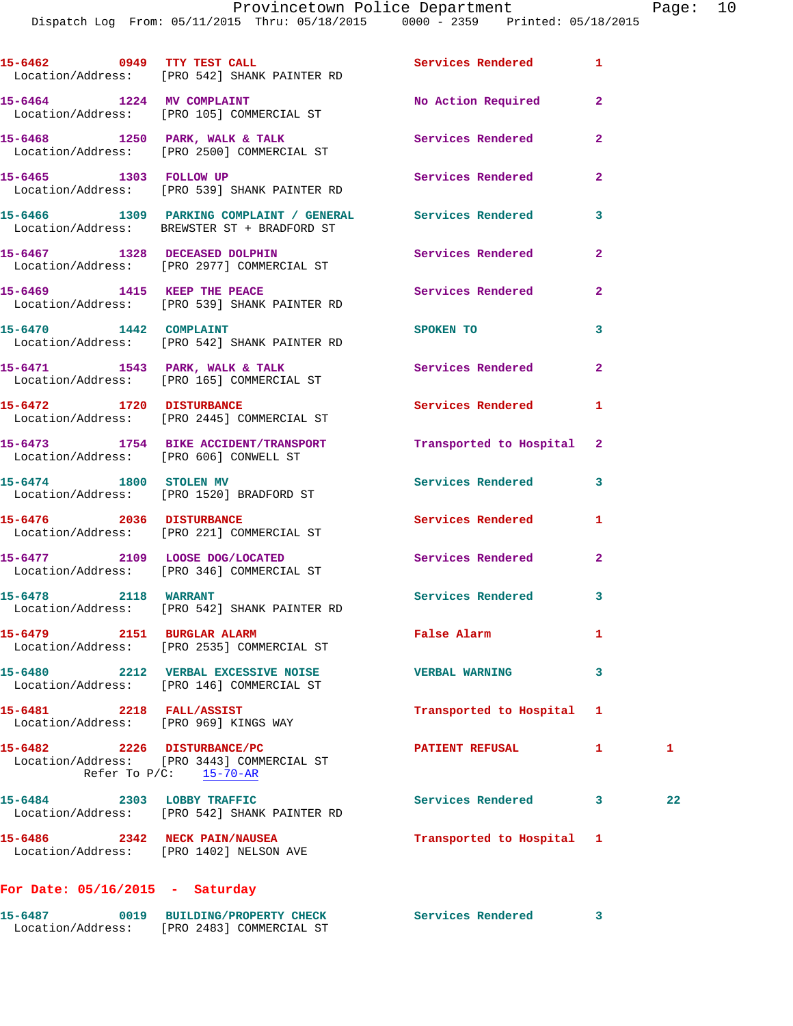Dispatch Log From: 05/11/2015 Thru: 05/18/2015 0000 - 2359 Printed: 05/18/2015

|                               | 15-6462 0949 TTY TEST CALL <b>120 Services</b> Rendered 1<br>Location/Address: [PRO 542] SHANK PAINTER RD |                           |              |              |
|-------------------------------|-----------------------------------------------------------------------------------------------------------|---------------------------|--------------|--------------|
|                               | 15-6464 1224 MV COMPLAINT<br>Location/Address: [PRO 105] COMMERCIAL ST                                    | No Action Required 2      |              |              |
|                               | 15-6468 1250 PARK, WALK & TALK<br>Location/Address: [PRO 2500] COMMERCIAL ST                              | Services Rendered         | $\mathbf{2}$ |              |
|                               | 15-6465 1303 FOLLOW UP<br>Location/Address: [PRO 539] SHANK PAINTER RD                                    | <b>Services Rendered</b>  | $\mathbf{2}$ |              |
|                               | 15-6466 1309 PARKING COMPLAINT / GENERAL Services Rendered<br>Location/Address: BREWSTER ST + BRADFORD ST |                           | 3            |              |
|                               | 15-6467 1328 DECEASED DOLPHIN<br>Location/Address: [PRO 2977] COMMERCIAL ST                               | Services Rendered         | $\mathbf{2}$ |              |
|                               | 15-6469 1415 KEEP THE PEACE<br>Location/Address: [PRO 539] SHANK PAINTER RD                               | <b>Services Rendered</b>  | $\mathbf{2}$ |              |
| 15-6470 1442 COMPLAINT        | Location/Address: [PRO 542] SHANK PAINTER RD                                                              | SPOKEN TO                 | 3            |              |
|                               | 15-6471 1543 PARK, WALK & TALK<br>Location/Address: [PRO 165] COMMERCIAL ST                               | Services Rendered         | $\mathbf{2}$ |              |
| 15-6472 1720 DISTURBANCE      | Location/Address: [PRO 2445] COMMERCIAL ST                                                                | <b>Services Rendered</b>  | 1            |              |
|                               | 15-6473 1754 BIKE ACCIDENT/TRANSPORT Transported to Hospital 2<br>Location/Address: [PRO 606] CONWELL ST  |                           |              |              |
| 15-6474 1800 STOLEN MV        | Location/Address: [PRO 1520] BRADFORD ST                                                                  | Services Rendered         | 3            |              |
|                               | 15-6476 2036 DISTURBANCE<br>Location/Address: [PRO 221] COMMERCIAL ST                                     | Services Rendered         | 1            |              |
|                               | 15-6477 2109 LOOSE DOG/LOCATED<br>Location/Address: [PRO 346] COMMERCIAL ST                               | Services Rendered         | $\mathbf{2}$ |              |
|                               | 15-6478 2118 WARRANT<br>Location/Address: [PRO 542] SHANK PAINTER RD                                      | Services Rendered 3       |              |              |
| 15-6479 2151 BURGLAR ALARM    | Location/Address: [PRO 2535] COMMERCIAL ST                                                                | False Alarm               | 1            |              |
|                               | 15-6480 2212 VERBAL EXCESSIVE NOISE WERBAL WARNING<br>Location/Address: [PRO 146] COMMERCIAL ST           |                           | 3            |              |
| 15-6481 2218 FALL/ASSIST      | Location/Address: [PRO 969] KINGS WAY                                                                     | Transported to Hospital   | 1            |              |
| 15-6482 2226 DISTURBANCE/PC   | Location/Address: [PRO 3443] COMMERCIAL ST<br>Refer To $P/C$ : 15-70-AR                                   | PATIENT REFUSAL           | 1            | $\mathbf{1}$ |
| 15-6484 2303 LOBBY TRAFFIC    | Location/Address: [PRO 542] SHANK PAINTER RD                                                              | Services Rendered 3       |              | 22           |
| 15-6486 2342 NECK PAIN/NAUSEA | Location/Address: [PRO 1402] NELSON AVE                                                                   | Transported to Hospital 1 |              |              |
|                               |                                                                                                           |                           |              |              |

## **For Date: 05/16/2015 - Saturday**

| 15-6487           | <b>BUILDING/PROPERTY CHECK</b> | Services Rendered |  |
|-------------------|--------------------------------|-------------------|--|
| Location/Address: | [PRO 2483] COMMERCIAL ST       |                   |  |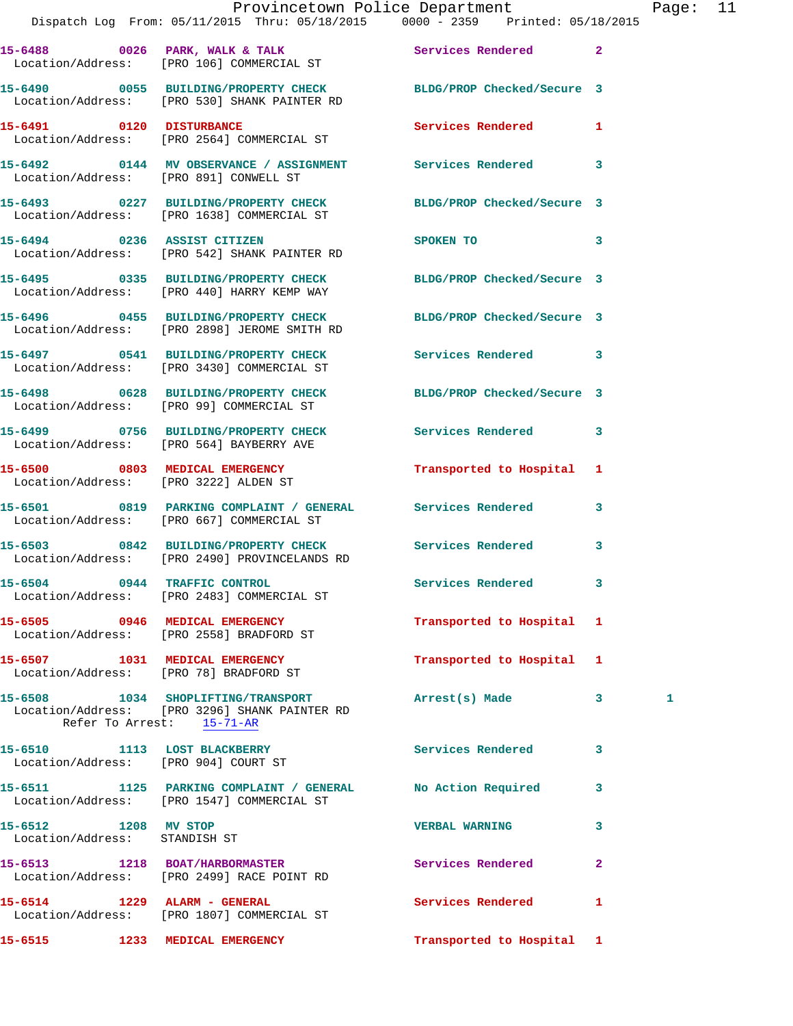|                                                       | Provincetown Police Department Page: 11<br>Dispatch Log From: 05/11/2015 Thru: 05/18/2015 0000 - 2359 Printed: 05/18/2015 |                                                                                                                                                                                                                                |                         |   |  |
|-------------------------------------------------------|---------------------------------------------------------------------------------------------------------------------------|--------------------------------------------------------------------------------------------------------------------------------------------------------------------------------------------------------------------------------|-------------------------|---|--|
|                                                       | 15-6488 0026 PARK, WALK & TALK 3 Services Rendered 2<br>Location/Address: [PRO 106] COMMERCIAL ST                         |                                                                                                                                                                                                                                |                         |   |  |
|                                                       | 15-6490 0055 BUILDING/PROPERTY CHECK BLDG/PROP Checked/Secure 3<br>Location/Address: [PRO 530] SHANK PAINTER RD           |                                                                                                                                                                                                                                |                         |   |  |
|                                                       | 15-6491 0120 DISTURBANCE<br>Location/Address: [PRO 2564] COMMERCIAL ST                                                    | Services Rendered 1                                                                                                                                                                                                            |                         |   |  |
|                                                       | 15-6492 0144 MV OBSERVANCE / ASSIGNMENT Services Rendered 3<br>Location/Address: [PRO 891] CONWELL ST                     |                                                                                                                                                                                                                                |                         |   |  |
|                                                       | 15-6493 0227 BUILDING/PROPERTY CHECK BLDG/PROP Checked/Secure 3<br>Location/Address: [PRO 1638] COMMERCIAL ST             |                                                                                                                                                                                                                                |                         |   |  |
|                                                       | 15-6494 0236 ASSIST CITIZEN<br>Location/Address: [PRO 542] SHANK PAINTER RD                                               | SPOKEN TO THE SPOKEN OF THE SPOKEN OF THE SPOKEN OF THE SPOKEN OF THE SPOKEN OF THE SPOKEN OF THE SPOKEN OF THE SPOKEN OF THE SPOKEN OF THE SPOKEN OF THE SPOKEN OF THE SPOKEN OF THE SPOKEN OF THE SPOKEN OF THE SPOKEN OF TH | $\overline{\mathbf{3}}$ |   |  |
|                                                       | 15-6495 0335 BUILDING/PROPERTY CHECK BLDG/PROP Checked/Secure 3<br>Location/Address: [PRO 440] HARRY KEMP WAY             |                                                                                                                                                                                                                                |                         |   |  |
|                                                       | 15-6496 		 0455 BUILDING/PROPERTY CHECK 		BLDG/PROP Checked/Secure 3<br>Location/Address: [PRO 2898] JEROME SMITH RD      |                                                                                                                                                                                                                                |                         |   |  |
|                                                       | 15-6497 0541 BUILDING/PROPERTY CHECK Services Rendered 3<br>Location/Address: [PRO 3430] COMMERCIAL ST                    |                                                                                                                                                                                                                                |                         |   |  |
|                                                       | 15-6498 0628 BUILDING/PROPERTY CHECK BLDG/PROP Checked/Secure 3<br>Location/Address: [PRO 99] COMMERCIAL ST               |                                                                                                                                                                                                                                |                         |   |  |
|                                                       | 15-6499 0756 BUILDING/PROPERTY CHECK Services Rendered 3<br>Location/Address: [PRO 564] BAYBERRY AVE                      |                                                                                                                                                                                                                                |                         |   |  |
| Location/Address: [PRO 3222] ALDEN ST                 | 15-6500 0803 MEDICAL EMERGENCY                                                                                            | Transported to Hospital 1                                                                                                                                                                                                      |                         |   |  |
|                                                       | 15-6501 0819 PARKING COMPLAINT / GENERAL Services Rendered 3<br>Location/Address: [PRO 667] COMMERCIAL ST                 |                                                                                                                                                                                                                                |                         |   |  |
|                                                       | 15-6503 0842 BUILDING/PROPERTY CHECK Services Rendered<br>Location/Address: [PRO 2490] PROVINCELANDS RD                   |                                                                                                                                                                                                                                | 3                       |   |  |
|                                                       | 15-6504 0944 TRAFFIC CONTROL<br>Location/Address: [PRO 2483] COMMERCIAL ST                                                | Services Rendered 3                                                                                                                                                                                                            |                         |   |  |
|                                                       | 15-6505 0946 MEDICAL EMERGENCY Transported to Hospital 1<br>Location/Address: [PRO 2558] BRADFORD ST                      |                                                                                                                                                                                                                                |                         |   |  |
|                                                       | 15-6507 1031 MEDICAL EMERGENCY<br>Location/Address: [PRO 78] BRADFORD ST                                                  | Transported to Hospital 1                                                                                                                                                                                                      |                         |   |  |
| Refer To Arrest: 15-71-AR                             | 15-6508 1034 SHOPLIFTING/TRANSPORT Arrest(s) Made 3<br>Location/Address: [PRO 3296] SHANK PAINTER RD                      |                                                                                                                                                                                                                                |                         | 1 |  |
|                                                       | 15-6510 1113 LOST BLACKBERRY<br>Location/Address: [PRO 904] COURT ST                                                      | Services Rendered 3                                                                                                                                                                                                            |                         |   |  |
|                                                       | 15-6511 1125 PARKING COMPLAINT / GENERAL No Action Required 3<br>Location/Address: [PRO 1547] COMMERCIAL ST               |                                                                                                                                                                                                                                |                         |   |  |
| 15-6512 1208 MV STOP<br>Location/Address: STANDISH ST |                                                                                                                           | <b>VERBAL WARNING</b>                                                                                                                                                                                                          | 3                       |   |  |
|                                                       | 15-6513 1218 BOAT/HARBORMASTER Services Rendered<br>Location/Address: [PRO 2499] RACE POINT RD                            |                                                                                                                                                                                                                                | $\mathbf{2}$            |   |  |
| 15-6514 1229 ALARM - GENERAL                          | Location/Address: [PRO 1807] COMMERCIAL ST                                                                                | Services Rendered                                                                                                                                                                                                              | $\mathbf{1}$            |   |  |
|                                                       | 15-6515 1233 MEDICAL EMERGENCY                                                                                            | Transported to Hospital 1                                                                                                                                                                                                      |                         |   |  |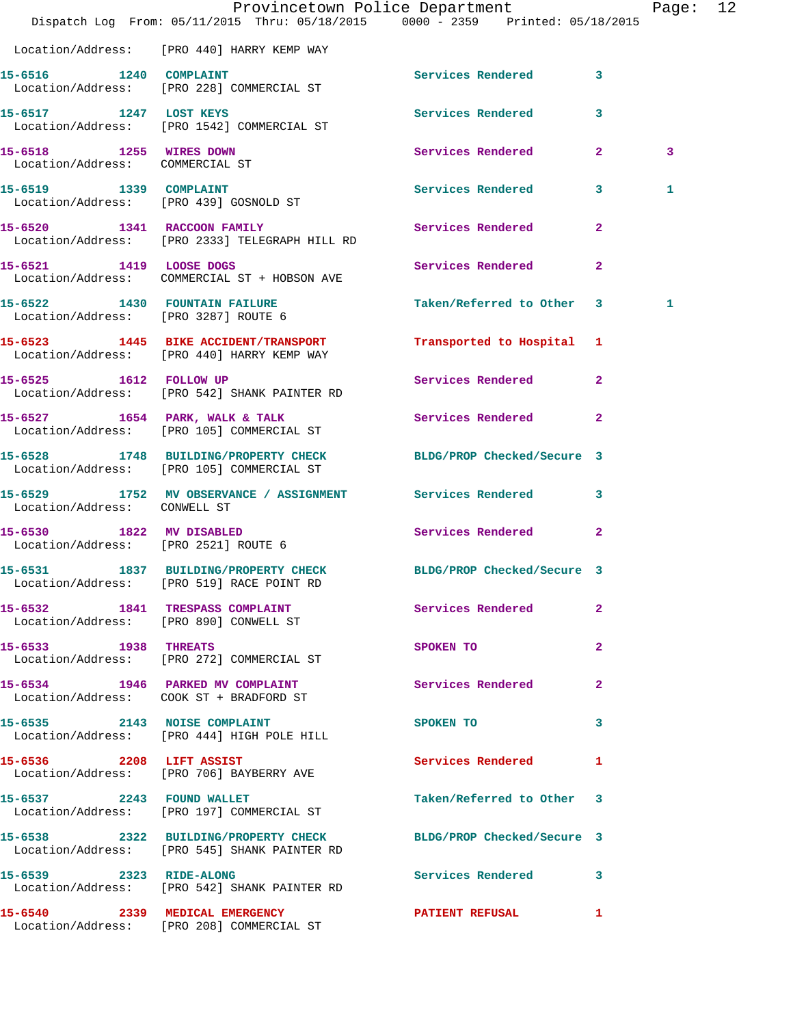|                                                                       | Dispatch Log From: 05/11/2015 Thru: 05/18/2015 0000 - 2359 Printed: 05/18/2015                                  | Provincetown Police Department |              | Page: 12 |  |
|-----------------------------------------------------------------------|-----------------------------------------------------------------------------------------------------------------|--------------------------------|--------------|----------|--|
|                                                                       | Location/Address: [PRO 440] HARRY KEMP WAY                                                                      |                                |              |          |  |
| 15-6516 1240 COMPLAINT                                                | Location/Address: [PRO 228] COMMERCIAL ST                                                                       | Services Rendered 3            |              |          |  |
|                                                                       | 15-6517 1247 LOST KEYS<br>Location/Address: [PRO 1542] COMMERCIAL ST                                            | Services Rendered              | 3            |          |  |
| 15-6518 1255 WIRES DOWN<br>Location/Address: COMMERCIAL ST            |                                                                                                                 | Services Rendered 2            |              | 3        |  |
| 15-6519 1339 COMPLAINT<br>Location/Address: [PRO 439] GOSNOLD ST      |                                                                                                                 | Services Rendered 3            |              | 1        |  |
|                                                                       | 15-6520 1341 RACCOON FAMILY<br>Location/Address: [PRO 2333] TELEGRAPH HILL RD                                   | Services Rendered 2            |              |          |  |
|                                                                       | 15-6521 1419 LOOSE DOGS<br>Location/Address: COMMERCIAL ST + HOBSON AVE                                         | Services Rendered              | $\mathbf{2}$ |          |  |
| 15-6522 1430 FOUNTAIN FAILURE<br>Location/Address: [PRO 3287] ROUTE 6 |                                                                                                                 | Taken/Referred to Other 3      |              | 1        |  |
|                                                                       | 15-6523 1445 BIKE ACCIDENT/TRANSPORT<br>Location/Address: [PRO 440] HARRY KEMP WAY                              | Transported to Hospital 1      |              |          |  |
|                                                                       | 15-6525 1612 FOLLOW UP<br>Location/Address: [PRO 542] SHANK PAINTER RD                                          | Services Rendered 2            |              |          |  |
|                                                                       | 15-6527 1654 PARK, WALK & TALK<br>Location/Address: [PRO 105] COMMERCIAL ST                                     | Services Rendered 2            |              |          |  |
|                                                                       | 15-6528 1748 BUILDING/PROPERTY CHECK<br>Location/Address: [PRO 105] COMMERCIAL ST                               | BLDG/PROP Checked/Secure 3     |              |          |  |
| Location/Address: CONWELL ST                                          | 15-6529 1752 MV OBSERVANCE / ASSIGNMENT Services Rendered 3                                                     |                                |              |          |  |
| 15-6530 1822 MV DISABLED<br>Location/Address: [PRO 2521] ROUTE 6      |                                                                                                                 | Services Rendered              | $\mathbf{2}$ |          |  |
| $15 - 6531$                                                           | 1837 BUILDING/PROPERTY CHECK BLDG/PROP Checked/Secure 3<br>Location/Address: [PRO 519] RACE POINT RD            |                                |              |          |  |
|                                                                       | 15-6532 1841 TRESPASS COMPLAINT Services Rendered 2<br>Location/Address: [PRO 890] CONWELL ST                   |                                |              |          |  |
| 15-6533 1938 THREATS                                                  | Location/Address: [PRO 272] COMMERCIAL ST                                                                       | SPOKEN TO                      | $\mathbf{2}$ |          |  |
|                                                                       | 15-6534 1946 PARKED MV COMPLAINT<br>Location/Address: COOK ST + BRADFORD ST                                     | Services Rendered              | $\mathbf{2}$ |          |  |
|                                                                       | 15-6535 2143 NOISE COMPLAINT<br>Location/Address: [PRO 444] HIGH POLE HILL                                      | SPOKEN TO                      | 3            |          |  |
|                                                                       | 15-6536 2208 LIFT ASSIST<br>Location/Address: [PRO 706] BAYBERRY AVE                                            | Services Rendered 1            |              |          |  |
|                                                                       | 15-6537 2243 FOUND WALLET<br>Location/Address: [PRO 197] COMMERCIAL ST                                          | Taken/Referred to Other 3      |              |          |  |
|                                                                       | 15-6538 2322 BUILDING/PROPERTY CHECK BLDG/PROP Checked/Secure 3<br>Location/Address: [PRO 545] SHANK PAINTER RD |                                |              |          |  |
| 15-6539 2323 RIDE-ALONG                                               | Location/Address: [PRO 542] SHANK PAINTER RD                                                                    | Services Rendered 3            |              |          |  |
|                                                                       | 15-6540 2339 MEDICAL EMERGENCY<br>Location/Address: [PRO 208] COMMERCIAL ST                                     | <b>PATIENT REFUSAL</b>         | $\mathbf{1}$ |          |  |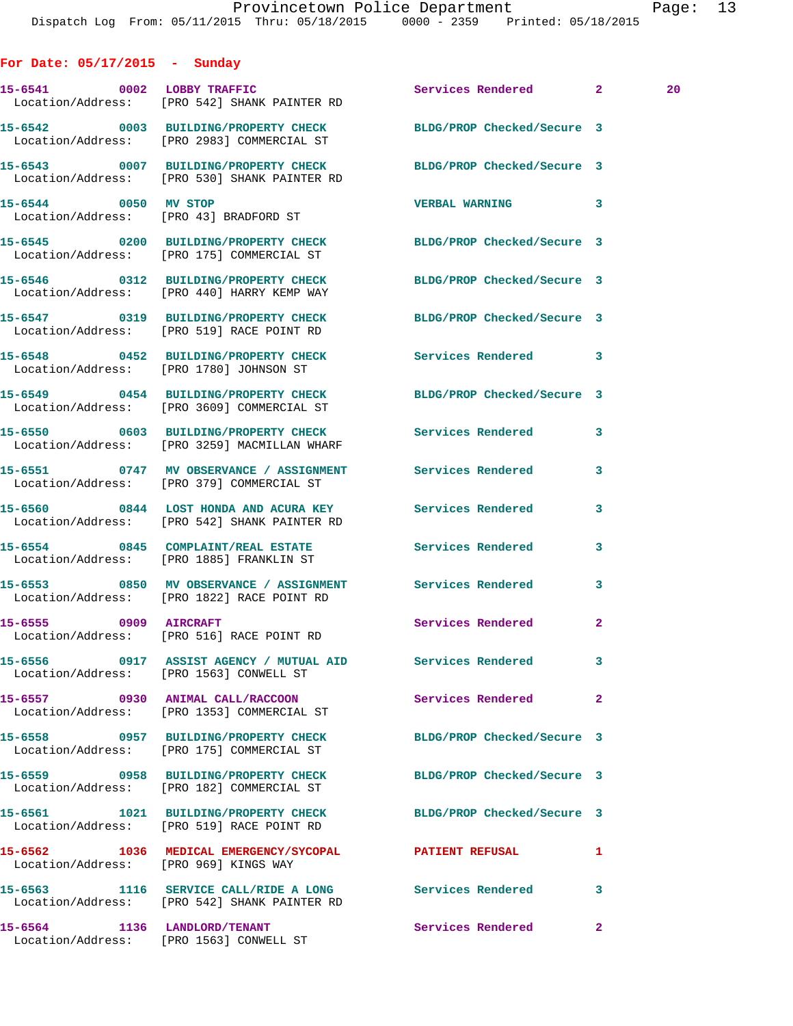**For Date: 05/17/2015 - Sunday** 15-6541 0002 LOBBY TRAFFIC Services Rendered 2 20 Location/Address: [PRO 542] SHANK PAINTER RD **15-6542 0003 BUILDING/PROPERTY CHECK BLDG/PROP Checked/Secure 3**  Location/Address: [PRO 2983] COMMERCIAL ST **15-6543 0007 BUILDING/PROPERTY CHECK BLDG/PROP Checked/Secure 3**  Location/Address: [PRO 530] SHANK PAINTER RD **15-6544 0050 MV STOP VERBAL WARNING 3**  Location/Address: [PRO 43] BRADFORD ST **15-6545 0200 BUILDING/PROPERTY CHECK BLDG/PROP Checked/Secure 3**  Location/Address: [PRO 175] COMMERCIAL ST **15-6546 0312 BUILDING/PROPERTY CHECK BLDG/PROP Checked/Secure 3**  Location/Address: [PRO 440] HARRY KEMP WAY **15-6547 0319 BUILDING/PROPERTY CHECK BLDG/PROP Checked/Secure 3**  Location/Address: [PRO 519] RACE POINT RD **15-6548 0452 BUILDING/PROPERTY CHECK Services Rendered 3**  Location/Address: [PRO 1780] JOHNSON ST **15-6549 0454 BUILDING/PROPERTY CHECK BLDG/PROP Checked/Secure 3**  Location/Address: [PRO 3609] COMMERCIAL ST **15-6550 0603 BUILDING/PROPERTY CHECK Services Rendered 3**  Location/Address: [PRO 3259] MACMILLAN WHARF **15-6551 0747 MV OBSERVANCE / ASSIGNMENT Services Rendered 3**  Location/Address: [PRO 379] COMMERCIAL ST **15-6560 0844 LOST HONDA AND ACURA KEY Services Rendered 3**  Location/Address: [PRO 542] SHANK PAINTER RD **15-6554 0845 COMPLAINT/REAL ESTATE Services Rendered 3**  Location/Address: [PRO 1885] FRANKLIN ST **15-6553 0850 MV OBSERVANCE / ASSIGNMENT Services Rendered 3**  Location/Address: [PRO 1822] RACE POINT RD 15-6555 0909 AIRCRAFT Services Rendered 2 Location/Address: [PRO 516] RACE POINT RD **15-6556 0917 ASSIST AGENCY / MUTUAL AID Services Rendered 3**  Location/Address: [PRO 1563] CONWELL ST **15-6557 0930 ANIMAL CALL/RACCOON Services Rendered 2**  Location/Address: [PRO 1353] COMMERCIAL ST **15-6558 0957 BUILDING/PROPERTY CHECK BLDG/PROP Checked/Secure 3**  Location/Address: [PRO 175] COMMERCIAL ST **15-6559 0958 BUILDING/PROPERTY CHECK BLDG/PROP Checked/Secure 3**  Location/Address: [PRO 182] COMMERCIAL ST **15-6561 1021 BUILDING/PROPERTY CHECK BLDG/PROP Checked/Secure 3**  Location/Address: [PRO 519] RACE POINT RD **15-6562 1036 MEDICAL EMERGENCY/SYCOPAL PATIENT REFUSAL 1**  Location/Address: [PRO 969] KINGS WAY **15-6563 1116 SERVICE CALL/RIDE A LONG Services Rendered 3**  Location/Address: [PRO 542] SHANK PAINTER RD

**15-6564 1136 LANDLORD/TENANT Services Rendered 2**  Location/Address: [PRO 1563] CONWELL ST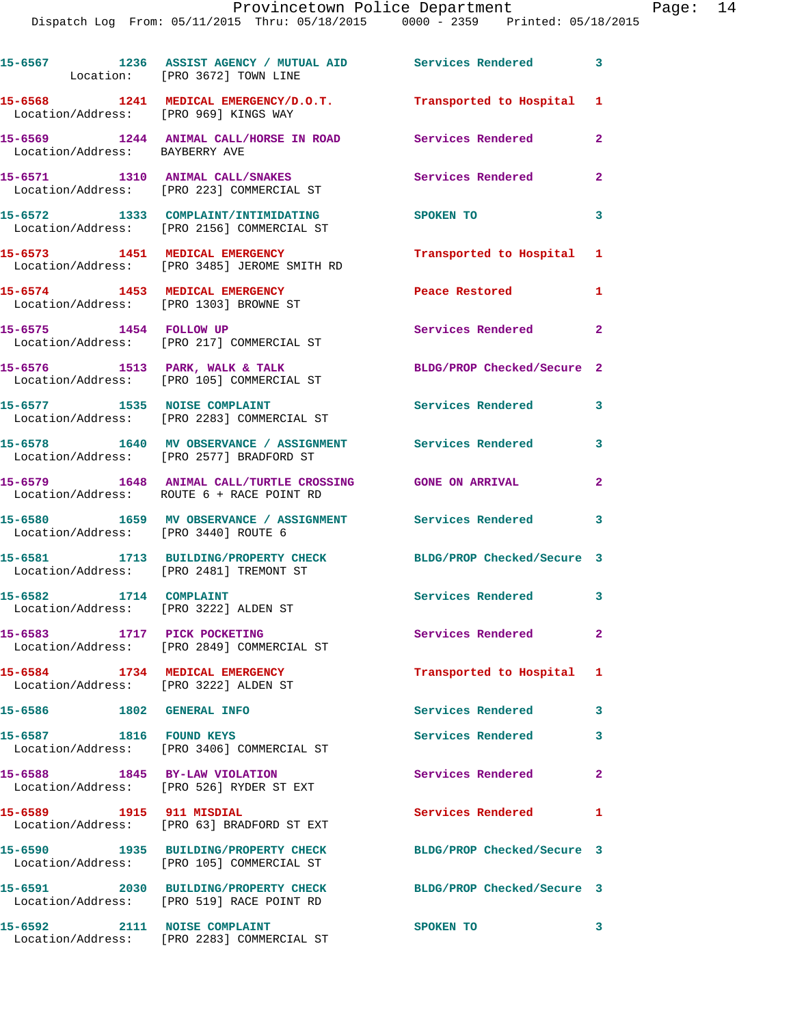|                                                                         | 15-6567 1236 ASSIST AGENCY / MUTUAL AID Services Rendered 3<br>Location: [PRO 3672] TOWN LINE              |                             |                         |
|-------------------------------------------------------------------------|------------------------------------------------------------------------------------------------------------|-----------------------------|-------------------------|
| Location/Address: [PRO 969] KINGS WAY                                   | 15-6568 1241 MEDICAL EMERGENCY/D.O.T. Transported to Hospital 1                                            |                             |                         |
| Location/Address: BAYBERRY AVE                                          | 15-6569 1244 ANIMAL CALL/HORSE IN ROAD Services Rendered                                                   |                             | $\mathbf{2}$            |
|                                                                         | 15-6571 1310 ANIMAL CALL/SNAKES<br>Location/Address: [PRO 223] COMMERCIAL ST                               | Services Rendered           | $\overline{a}$          |
|                                                                         | 15-6572 1333 COMPLAINT/INTIMIDATING<br>Location/Address: [PRO 2156] COMMERCIAL ST                          | <b>SPOKEN TO</b>            | 3                       |
|                                                                         | 15-6573 1451 MEDICAL EMERGENCY<br>Location/Address: [PRO 3485] JEROME SMITH RD                             | Transported to Hospital 1   |                         |
|                                                                         | 15-6574 1453 MEDICAL EMERGENCY<br>Location/Address: [PRO 1303] BROWNE ST                                   | Peace Restored <b>Seaps</b> | $\mathbf{1}$            |
| 15-6575 1454 FOLLOW UP                                                  | Location/Address: [PRO 217] COMMERCIAL ST                                                                  | <b>Services Rendered</b> 2  |                         |
|                                                                         | 15-6576 1513 PARK, WALK & TALK<br>Location/Address: [PRO 105] COMMERCIAL ST                                | BLDG/PROP Checked/Secure 2  |                         |
| 15-6577 1535 NOISE COMPLAINT                                            | Location/Address: [PRO 2283] COMMERCIAL ST                                                                 | Services Rendered 3         |                         |
|                                                                         | 15-6578 1640 MV OBSERVANCE / ASSIGNMENT Services Rendered<br>Location/Address: [PRO 2577] BRADFORD ST      |                             | $\mathbf{3}$            |
|                                                                         | 15-6579 1648 ANIMAL CALL/TURTLE CROSSING GONE ON ARRIVAL<br>Location/Address: ROUTE 6 + RACE POINT RD      |                             | $\overline{a}$          |
| Location/Address: [PRO 3440] ROUTE 6                                    | 15-6580 1659 MV OBSERVANCE / ASSIGNMENT Services Rendered 3                                                |                             |                         |
|                                                                         | 15-6581 1713 BUILDING/PROPERTY CHECK BLDG/PROP Checked/Secure 3<br>Location/Address: [PRO 2481] TREMONT ST |                             |                         |
| 15-6582 1714 COMPLAINT<br>Location/Address: [PRO 3222] ALDEN ST         |                                                                                                            | Services Rendered 3         |                         |
| 15-6583 1717 PICK POCKETING                                             | Location/Address: [PRO 2849] COMMERCIAL ST                                                                 | <b>Services Rendered</b>    | $\mathbf{2}$            |
| 15-6584 1734 MEDICAL EMERGENCY<br>Location/Address: [PRO 3222] ALDEN ST |                                                                                                            | Transported to Hospital     | $\mathbf{1}$            |
| 15-6586 1802 GENERAL INFO                                               |                                                                                                            | Services Rendered           | $\mathbf{3}$            |
| 15-6587 1816 FOUND KEYS                                                 | Location/Address: [PRO 3406] COMMERCIAL ST                                                                 | <b>Services Rendered</b>    | 3                       |
| 15-6588 1845 BY-LAW VIOLATION                                           | Location/Address: [PRO 526] RYDER ST EXT                                                                   | Services Rendered           | $\overline{\mathbf{2}}$ |
| 15-6589 1915 911 MISDIAL                                                | Location/Address: [PRO 63] BRADFORD ST EXT                                                                 | Services Rendered           | 1                       |
|                                                                         | 15-6590 1935 BUILDING/PROPERTY CHECK<br>Location/Address: [PRO 105] COMMERCIAL ST                          | BLDG/PROP Checked/Secure 3  |                         |
|                                                                         | 15-6591 2030 BUILDING/PROPERTY CHECK<br>Location/Address: [PRO 519] RACE POINT RD                          | BLDG/PROP Checked/Secure 3  |                         |
| 15-6592                                                                 | 2111 NOISE COMPLAINT                                                                                       | SPOKEN TO                   | 3                       |

Location/Address: [PRO 2283] COMMERCIAL ST